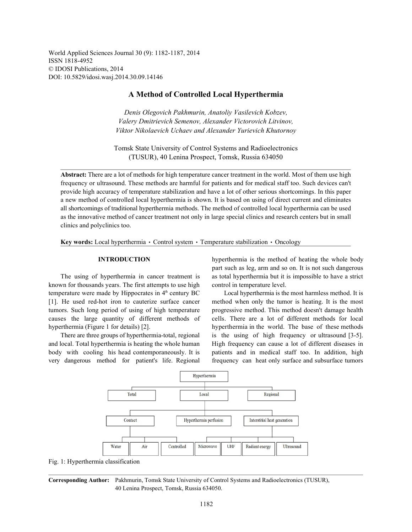World Applied Sciences Journal 30 (9): 1182-1187, 2014 ISSN 1818-4952 © IDOSI Publications, 2014 DOI: 10.5829/idosi.wasj.2014.30.09.14146

# **A Method of Controlled Local Hyperthermia**

*Denis Olegovich Pakhmurin, Anatoliy Vasilevich Kobzev, Valery Dmitrievich Semenov, Alexander Victorovich Litvinov, Viktor Nikolaevich Uchaev and Alexander Yurievich Khutornoy*

Tomsk State University of Control Systems and Radioelectronics (TUSUR), 40 Lenina Prospect, Tomsk, Russia 634050

**Abstract:** There are a lot of methods for high temperature cancer treatment in the world. Most of them use high frequency or ultrasound. These methods are harmful for patients and for medical staff too. Such devices can't provide high accuracy of temperature stabilization and have a lot of other serious shortcomings. In this paper a new method of controlled local hyperthermia is shown. It is based on using of direct current and eliminates all shortcomings of traditional hyperthermia methods. The method of controlled local hyperthermia can be used as the innovative method of cancer treatment not only in large special clinics and research centers but in small clinics and polyclinics too.

**Key words:** Local hyperthermia  $\cdot$  Control system  $\cdot$  Temperature stabilization  $\cdot$  Oncology

known for thousands years. The first attempts to use high control in temperature level. temperature were made by Hippocrates in  $4<sup>th</sup>$  century BC Local hyperthermia is the most harmless method. It is [1]. He used red-hot iron to cauterize surface cancer method when only the tumor is heating. It is the most tumors. Such long period of using of high temperature progressive method. This method doesn't damage health causes the large quantity of different methods of cells. There are a lot of different methods for local hyperthermia (Figure 1 for details) [2]. hyperthermia in the world. The base of these methods

and local. Total hyperthermia is heating the whole human High frequency can cause a lot of different diseases in body with cooling his head contemporaneously. It is patients and in medical staff too. In addition, high very dangerous method for patient's life. Regional frequency can heat only surface and subsurface tumors

**INTRODUCTION** hyperthermia is the method of heating the whole body The using of hyperthermia in cancer treatment is as total hyperthermia but it is impossible to have a strict part such as leg, arm and so on. It is not such dangerous

There are three groups of hyperthermia-total, regional is the using of high frequency or ultrasound [3-5].



Fig. 1: Hyperthermia classification

**Corresponding Author:** Pakhmurin, Tomsk State University of Control Systems and Radioelectronics (TUSUR), 40 Lenina Prospect, Tomsk, Russia 634050.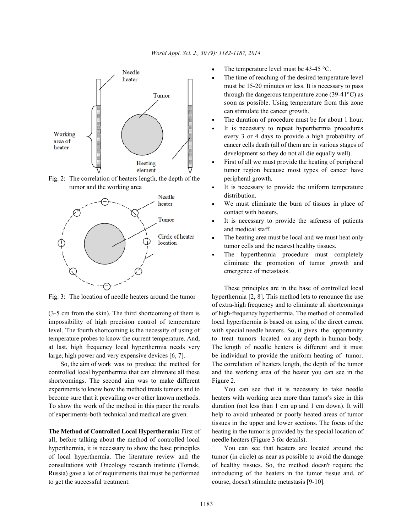

Fig. 2: The correlation of heaters length, the depth of the peripheral growth.



impossibility of high precision control of temperature local hyperthermia is based on using of the direct current level. The fourth shortcoming is the necessity of using of with special needle heaters. So, it gives the opportunity temperature probes to know the current temperature. And, to treat tumors located on any depth in human body. at last, high frequency local hyperthermia needs very The length of needle heaters is different and it must large, high power and very expensive devices [6, 7]. be individual to provide the uniform heating of tumor.

shortcomings. The second aim was to make different Figure 2. experiments to know how the method treats tumors and to You can see that it is necessary to take needle

all, before talking about the method of controlled local needle heaters (Figure 3 for details). hyperthermia, it is necessary to show the base principles You can see that heaters are located around the of local hyperthermia. The literature review and the tumor (in circle) as near as possible to avoid the damage consultations with Oncology research institute (Tomsk, of healthy tissues. So, the method doesn't require the Russia) gave a lot of requirements that must be performed introducing of the heaters in the tumor tissue and, of to get the successful treatment: course, doesn't stimulate metastasis [9-10].

- The temperature level must be 43-45 °C.
- The time of reaching of the desired temperature level must be 15-20 minutes or less. It is necessary to pass through the dangerous temperature zone  $(39-41^{\circ}C)$  as soon as possible. Using temperature from this zone can stimulate the cancer growth.
- The duration of procedure must be for about 1 hour.
- It is necessary to repeat hyperthermia procedures every 3 or 4 days to provide a high probability of cancer cells death (all of them are in various stages of development so they do not all die equally well).
- First of all we must provide the heating of peripheral tumor region because most types of cancer have
- tumor and the working area **It is necessary to provide the uniform temperature** distribution.
	- We must eliminate the burn of tissues in place of contact with heaters.
	- It is necessary to provide the safeness of patients and medical staff.
	- The heating area must be local and we must heat only tumor cells and the nearest healthy tissues.
	- The hyperthermia procedure must completely eliminate the promotion of tumor growth and emergence of metastasis.

Fig. 3: The location of needle heaters around the tumor hyperthermia [2, 8]. This method lets to renounce the use (3-5 cm from the skin). The third shortcoming of them is of high-frequency hyperthermia. The method of controlled So, the aim of work was to produce the method for The correlation of heaters length, the depth of the tumor controlled local hyperthermia that can eliminate all these and the working area of the heater you can see in the These principles are in the base of controlled local of extra-high frequency and to eliminate all shortcomings

become sure that it prevailing over other known methods. heaters with working area more than tumor's size in this To show the work of the method in this paper the results duration (not less than 1 cm up and 1 cm down). It will of experiments-both technical and medical are given. help to avoid unheated or poorly heated areas of tumor **The Method of Controlled Local Hyperthermia:** First of heating in the tumor is provided by the special location of tissues in the upper and lower sections. The focus of the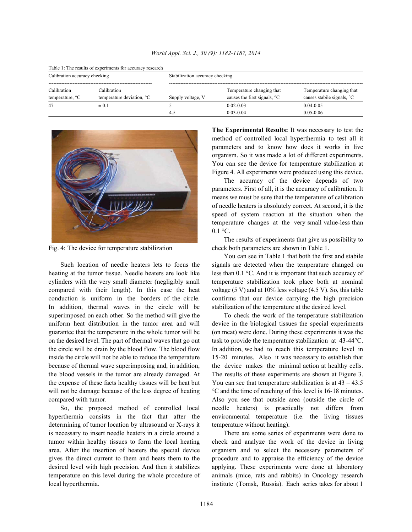| Table 1: The results of experiments for accuracy research<br>Calibration accuracy checking |                                                      | Stabilization accuracy checking |                                                                    |                                                                     |  |
|--------------------------------------------------------------------------------------------|------------------------------------------------------|---------------------------------|--------------------------------------------------------------------|---------------------------------------------------------------------|--|
| Calibration<br>temperature, $\mathrm{C}$                                                   | Calibration<br>temperature deviation, <sup>o</sup> C | Supply voltage, V               | Temperature changing that<br>causes the first signals, $\degree$ C | Temperature changing that<br>causes stabile signals, <sup>o</sup> C |  |
| 47                                                                                         | $\pm 0.1$                                            | 4.5                             | $0.02 - 0.03$<br>$0.03 - 0.04$                                     | $0.04 - 0.05$<br>$0.05 - 0.06$                                      |  |

## *World Appl. Sci. J., 30 (9): 1182-1187, 2014*

Table 1: The results of experiments for accuracy research



cylinders with the very small diameter (negligibly small temperature stabilization took place both at nominal compared with their length). In this case the heat voltage  $(5 V)$  and at  $10\%$  less voltage  $(4.5 V)$ . So, this table conduction is uniform in the borders of the circle. confirms that our device carrying the high precision In addition, thermal waves in the circle will be stabilization of the temperature at the desired level. superimposed on each other. So the method will give the To check the work of the temperature stabilization uniform heat distribution in the tumor area and will device in the biological tissues the special experiments guarantee that the temperature in the whole tumor will be (on meat) were done. During these experiments it was the on the desired level. The part of thermal waves that go out task to provide the temperature stabilization at 43-44°C. the circle will be drain by the blood flow. The blood flow In addition, we had to reach this temperature level in inside the circle will not be able to reduce the temperature 15-20 minutes. Also it was necessary to establish that because of thermal wave superimposing and, in addition, the device makes the minimal action at healthy cells. the blood vessels in the tumor are already damaged. At The results of these experiments are shown at Figure 3. the expense of these facts healthy tissues will be heat but You can see that temperature stabilization is at  $43 - 43.5$ will not be damage because of the less degree of heating <sup>°</sup>C and the time of reaching of this level is 16-18 minutes. compared with tumor. Also you see that outside area (outside the circle of

hyperthermia consists in the fact that after the environmental temperature (i.e. the living tissues determining of tumor location by ultrasound or X-rays it temperature without heating). is necessary to insert needle heaters in a circle around a There are some series of experiments were done to tumor within healthy tissues to form the local heating check and analyze the work of the device in living area. After the insertion of heaters the special device organism and to select the necessary parameters of gives the direct current to them and heats them to the procedure and to appraise the efficiency of the device desired level with high precision. And then it stabilizes applying. These experiments were done at laboratory temperature on this level during the whole procedure of animals (mice, rats and rabbits) in Oncology research local hyperthermia. institute (Tomsk, Russia). Each series takes for about 1

**The Experimental Results:** It was necessary to test the method of controlled local hyperthermia to test all it parameters and to know how does it works in live organism. So it was made a lot of different experiments. You can see the device for temperature stabilization at Figure 4. All experiments were produced using this device.

The accuracy of the device depends of two parameters. First of all, it is the accuracy of calibration. It means we must be sure that the temperature of calibration of needle heaters is absolutely correct. At second, it is the speed of system reaction at the situation when the temperature changes at the very small value-less than  $0.1 \text{ }^{\circ}C$ .

Fig. 4: The device for temperature stabilization check both parameters are shown in Table 1. The results of experiments that give us possibility to

Such location of needle heaters lets to focus the signals are detected when the temperature changed on heating at the tumor tissue. Needle heaters are look like less than 0.1 °C. And it is important that such accuracy of You can see in Table 1 that both the first and stabile

So, the proposed method of controlled local needle heaters) is practically not differs from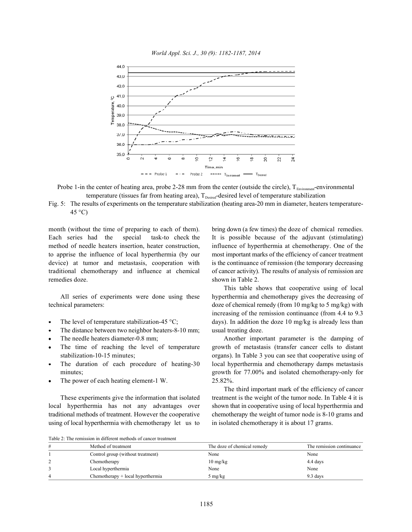



Probe 1-in the center of heating area, probe 2-28 mm from the center (outside the circle),  $T_{\text{Favimment}}$ -environmental temperature (tissues far from heating area),  $T_{\text{Desired}}$ -desired level of temperature stabilization

Fig. 5: The results of experiments on the temperature stabilization (heating area-20 mm in diameter, heaters temperature- $45^{\circ}$ C)

month (without the time of preparing to each of them). bring down (a few times) the doze of chemical remedies. Each series had the special task-to check the It is possible because of the adjuvant (stimulating) method of needle heaters insertion, heater construction, influence of hyperthermia at chemotherapy. One of the to apprise the influence of local hyperthermia (by our most important marks of the efficiency of cancer treatment device) at tumor and metastasis, cooperation with is the continuance of remission (the temporary decreasing traditional chemotherapy and influence at chemical of cancer activity). The results of analysis of remission are remedies doze. Shown in Table 2.

- 
- The distance between two neighbor heaters-8-10 mm; usual treating doze.
- 
- 
- 
- The power of each heating element-1 W. 25.82%.

local hyperthermia has not any advantages over shown that in cooperative using of local hyperthermia and traditional methods of treatment. However the cooperative chemotherapy the weight of tumor node is 8-10 grams and using of local hyperthermia with chemotherapy let us to in isolated chemotherapy it is about 17 grams.

All series of experiments were done using these hyperthermia and chemotherapy gives the decreasing of technical parameters: doze of chemical remedy (from 10 mg/kg to 5 mg/kg) with The level of temperature stabilization-45 °C; days). In addition the doze 10 mg/kg is already less than This table shows that cooperative using of local increasing of the remission continuance (from 4.4 to 9.3

The needle heaters diameter-0.8 mm; Another important parameter is the damping of The time of reaching the level of temperature growth of metastasis (transfer cancer cells to distant stabilization-10-15 minutes; organs). In Table 3 you can see that cooperative using of The duration of each procedure of heating-30 local hyperthermia and chemotherapy damps metastasis minutes; growth for 77.00% and isolated chemotherapy-only for

These experiments give the information that isolated treatment is the weight of the tumor node. In Table 4 it is The third important mark of the efficiency of cancer

Table 2: The remission in different methods of cancer treatment

| # | Method of treatment               | The doze of chemical remedy      | The remission continuance |
|---|-----------------------------------|----------------------------------|---------------------------|
|   | Control group (without treatment) | None                             | None                      |
|   | Chemotherapy                      | $10 \frac{\text{mg}}{\text{kg}}$ | 4.4 days                  |
|   | Local hyperthermia                | None                             | None                      |
| 4 | Chemotherapy + local hyperthermia | 5 mg/kg                          | 9.3 days                  |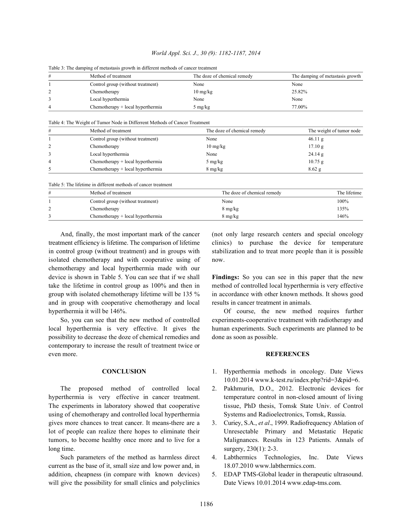| World Appl. Sci. J., 30 (9): 1182-1187, 2014 |  |  |  |  |
|----------------------------------------------|--|--|--|--|
|----------------------------------------------|--|--|--|--|

| Table 5. The damping of inclusious growth in unferent includes of cancer treatment |                                   |                                  |                                  |  |
|------------------------------------------------------------------------------------|-----------------------------------|----------------------------------|----------------------------------|--|
| #                                                                                  | Method of treatment               | The doze of chemical remedy      | The damping of metastasis growth |  |
|                                                                                    | Control group (without treatment) | None                             | None                             |  |
|                                                                                    | Chemotherapy                      | $10 \frac{\text{mg}}{\text{kg}}$ | 25.82%                           |  |
|                                                                                    | Local hyperthermia                | None                             | None                             |  |
|                                                                                    | Chemotherapy + local hyperthermia | 5 mg/kg                          | 77.00%                           |  |

Table 3: The damping of metastasis growth in different methods of cancer treatment

Table 4: The Weight of Tumor Node in Differrent Methods of Cancer Treatment

| # | Method of treatment               | The doze of chemical remedy      | The weight of tumor node |
|---|-----------------------------------|----------------------------------|--------------------------|
|   | Control group (without treatment) | None                             | $46.11$ g                |
|   | Chemotherapy                      | $10 \frac{\text{mg}}{\text{kg}}$ | 17.10 g                  |
|   | Local hyperthermia                | None                             | 24.14 g                  |
| 4 | Chemotherapy + local hyperthermia | $5 \text{ mg/kg}$                | $10.75$ g                |
|   | Chemotherapy + local hyperthermia | $8 \text{ mg/kg}$                | $8.62$ g                 |

Table 5: The lifetime in different methods of cancer treatment

| # | Method of treatment               | The doze of chemical remedy | The lifetime |
|---|-----------------------------------|-----------------------------|--------------|
|   | Control group (without treatment) | None                        | 100%         |
|   | Chemotherapy                      | $8 \text{ mg/kg}$           | 135%         |
|   | Chemotherapy + local hyperthermia | $8 \text{ mg/kg}$           | 146%         |

treatment efficiency is lifetime. The comparison of lifetime clinics) to purchase the device for temperature in control group (without treatment) and in groups with stabilization and to treat more people than it is possible isolated chemotherapy and with cooperative using of now. chemotherapy and local hyperthermia made with our device is shown in Table 5. You can see that if we shall **Findings:** So you can see in this paper that the new take the lifetime in control group as 100% and then in method of controlled local hyperthermia is very effective group with isolated chemotherapy lifetime will be 135 % in accordance with other known methods. It shows good and in group with cooperative chemotherapy and local results in cancer treatment in animals. hyperthermia it will be 146%. Of course, the new method requires further

possibility to decrease the doze of chemical remedies and done as soon as possible. contemporary to increase the result of treatment twice or even more. **REFERENCES**

The proposed method of controlled local 2. Pakhmurin, D.O., 2012. Electronic devices for using of chemotherapy and controlled local hyperthermia Systems and Radioelectronics, Tomsk, Russia. gives more chances to treat cancer. It means-there are a 3. Curiey, S.A., *et al*., 1999. Radiofrequency Ablation of lot of people can realize there hopes to eliminate their Unresectable Primary and Metastatic Hepatic tumors, to become healthy once more and to live for a Malignances. Results in 123 Patients. Annals of  $\log \text{time}$ . surgery, 230(1): 2-3.

current as the base of it, small size and low power and, in 18.07.2010 www.labthermics.com. addition, cheapness (in compare with known devices) 5. EDAP TMS-Global leader in therapeutic ultrasound. will give the possibility for small clinics and polyclinics Date Views 10.01.2014 www.edap-tms.com.

And, finally, the most important mark of the cancer (not only large research centers and special oncology

So, you can see that the new method of controlled experiments-cooperative treatment with radiotherapy and local hyperthermia is very effective. It gives the human experiments. Such experiments are planned to be

- **CONCLUSION** 1. Hyperthermia methods in oncology. Date Views 10.01.2014 www.k-test.ru/index.php?rid=3&pid=6.
- hyperthermia is very effective in cancer treatment. temperature control in non-closed amount of living The experiments in laboratory showed that cooperative tissue, PhD thesis, Tomsk State Univ. of Control
	-
	- Such parameters of the method as harmless direct 4. Labthermics Technologies, Inc. Date Views
		-